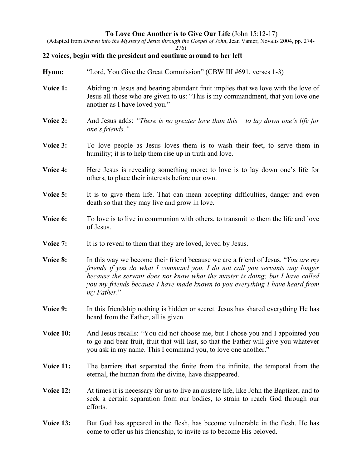## **To Love One Another is to Give Our Life** (John 15:12-17)

(Adapted from *Drawn into the Mystery of Jesus through the Gospel of John*, Jean Vanier, Novalis 2004, pp. 274- 276)

## **22 voices, begin with the president and continue around to her left**

- **Hymn:** "Lord, You Give the Great Commission" (CBW III #691, verses 1-3)
- **Voice 1:** Abiding in Jesus and bearing abundant fruit implies that we love with the love of Jesus all those who are given to us: "This is my commandment, that you love one another as I have loved you."
- **Voice 2:** And Jesus adds: *"There is no greater love than this to lay down one's life for one's friends."*
- **Voice 3:** To love people as Jesus loves them is to wash their feet, to serve them in humility; it is to help them rise up in truth and love.
- **Voice 4:** Here Jesus is revealing something more: to love is to lay down one's life for others, to place their interests before our own.
- **Voice 5:** It is to give them life. That can mean accepting difficulties, danger and even death so that they may live and grow in love.
- **Voice 6:** To love is to live in communion with others, to transmit to them the life and love of Jesus.
- **Voice 7:** It is to reveal to them that they are loved, loved by Jesus.
- **Voice 8:** In this way we become their friend because we are a friend of Jesus. "*You are my friends if you do what I command you. I do not call you servants any longer because the servant does not know what the master is doing; but I have called you my friends because I have made known to you everything I have heard from my Father*."
- **Voice 9:** In this friendship nothing is hidden or secret. Jesus has shared everything He has heard from the Father, all is given.
- **Voice 10:** And Jesus recalls: "You did not choose me, but I chose you and I appointed you to go and bear fruit, fruit that will last, so that the Father will give you whatever you ask in my name. This I command you, to love one another."
- **Voice 11:** The barriers that separated the finite from the infinite, the temporal from the eternal, the human from the divine, have disappeared.
- **Voice 12:** At times it is necessary for us to live an austere life, like John the Baptizer, and to seek a certain separation from our bodies, to strain to reach God through our efforts.
- **Voice 13:** But God has appeared in the flesh, has become vulnerable in the flesh. He has come to offer us his friendship, to invite us to become His beloved.